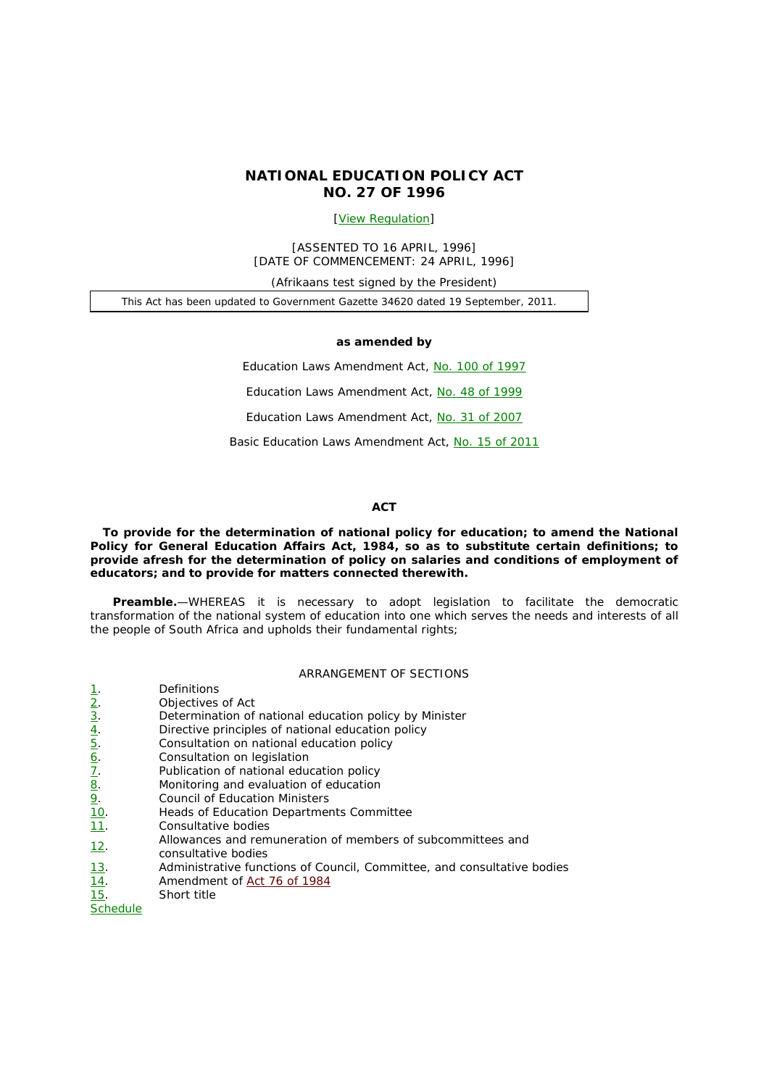# **NATIONAL EDUCATION POLICY ACT NO. 27 OF 1996**

# [View Regulation]

[ASSENTED TO 16 APRIL, 1996] [DATE OF COMMENCEMENT: 24 APRIL, 1996]

*(Afrikaans test signed by the President)* 

This Act has been updated to *Government Gazette* 34620 dated 19 September, 2011.

#### **as amended by**

Education Laws Amendment Act, No. 100 of 1997

Education Laws Amendment Act, No. 48 of 1999

Education Laws Amendment Act, No. 31 of 2007

Basic Education Laws Amendment Act, No. 15 of 2011

#### **ACT**

**To provide for the determination of national policy for education; to amend the National Policy for General Education Affairs Act, 1984, so as to substitute certain definitions; to provide afresh for the determination of policy on salaries and conditions of employment of educators; and to provide for matters connected therewith.** 

**Preamble.**—WHEREAS it is necessary to adopt legislation to facilitate the democratic transformation of the national system of education into one which serves the needs and interests of all the people of South Africa and upholds their fundamental rights;

### ARRANGEMENT OF SECTIONS

|                                                                                                   | <b>Definitions</b>                                                                 |
|---------------------------------------------------------------------------------------------------|------------------------------------------------------------------------------------|
|                                                                                                   | Objectives of Act                                                                  |
| $\frac{1}{2}$ $\frac{2}{3}$ $\frac{4}{4}$ $\frac{5}{5}$ $\frac{6}{7}$ $\frac{7}{8}$ $\frac{8}{9}$ | Determination of national education policy by Minister                             |
|                                                                                                   | Directive principles of national education policy                                  |
|                                                                                                   | Consultation on national education policy                                          |
|                                                                                                   | Consultation on legislation                                                        |
|                                                                                                   | Publication of national education policy                                           |
|                                                                                                   | Monitoring and evaluation of education                                             |
|                                                                                                   | <b>Council of Education Ministers</b>                                              |
| $\frac{10}{11}$ .                                                                                 | Heads of Education Departments Committee                                           |
|                                                                                                   | Consultative bodies                                                                |
| <u>12.</u>                                                                                        | Allowances and remuneration of members of subcommittees and<br>consultative bodies |
| <u>13</u> .                                                                                       | Administrative functions of Council, Committee, and consultative bodies            |
| <u>14</u> .                                                                                       | Amendment of Act 76 of 1984                                                        |
| 15.                                                                                               | Short title                                                                        |
| <b>Schedule</b>                                                                                   |                                                                                    |
|                                                                                                   |                                                                                    |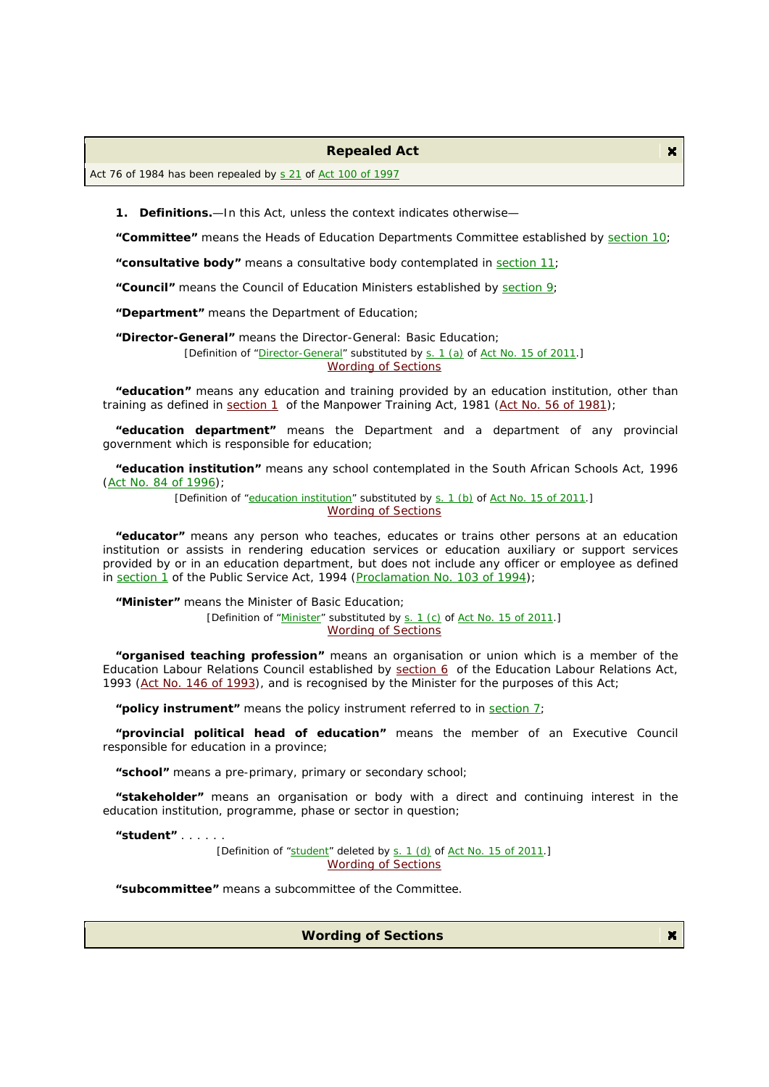#### **Repealed Act**

Act 76 of 1984 has been repealed by s 21 of Act 100 of 1997

**1. Definitions.**—In this Act, unless the context indicates otherwise—

**"Committee"** means the Heads of Education Departments Committee established by section 10;

**"consultative body"** means a consultative body contemplated in section 11;

**"Council"** means the Council of Education Ministers established by section 9;

**"Department"** means the Department of Education;

**"Director-General"** means the Director-General: Basic Education;

[Definition of "Director-General" substituted by s. 1 (a) of Act No. 15 of 2011.]

Wording of Sections

**"education"** means any education and training provided by an education institution, other than training as defined in section 1 of the Manpower Training Act, 1981 (Act No. 56 of 1981);

**"education department"** means the Department and a department of any provincial government which is responsible for education;

**"education institution"** means any school contemplated in the South African Schools Act, 1996 (Act No. 84 of 1996);

> [Definition of "education institution" substituted by s. 1 (b) of Act No. 15 of 2011.] Wording of Sections

**"educator"** means any person who teaches, educates or trains other persons at an education institution or assists in rendering education services or education auxiliary or support services provided by or in an education department, but does not include any officer or employee as defined in section 1 of the Public Service Act, 1994 (Proclamation No. 103 of 1994);

**"Minister"** means the Minister of Basic Education;

[Definition of "Minister" substituted by s. 1 (*c*) of Act No. 15 of 2011.] Wording of Sections

**"organised teaching profession"** means an organisation or union which is a member of the Education Labour Relations Council established by section 6 of the Education Labour Relations Act, 1993 (Act No. 146 of 1993), and is recognised by the Minister for the purposes of this Act;

**"policy instrument"** means the policy instrument referred to in section 7;

**"provincial political head of education"** means the member of an Executive Council responsible for education in a province;

**"school"** means a pre-primary, primary or secondary school;

**"stakeholder"** means an organisation or body with a direct and continuing interest in the education institution, programme, phase or sector in question;

**"student"** . . . . . .

[Definition of "student" deleted by s. 1 (d) of Act No. 15 of 2011.] Wording of Sections

**"subcommittee"** means a subcommittee of the Committee.

**Wording of Sections** 

 $\mathbf{x}$ 

 $\mathbf{x}$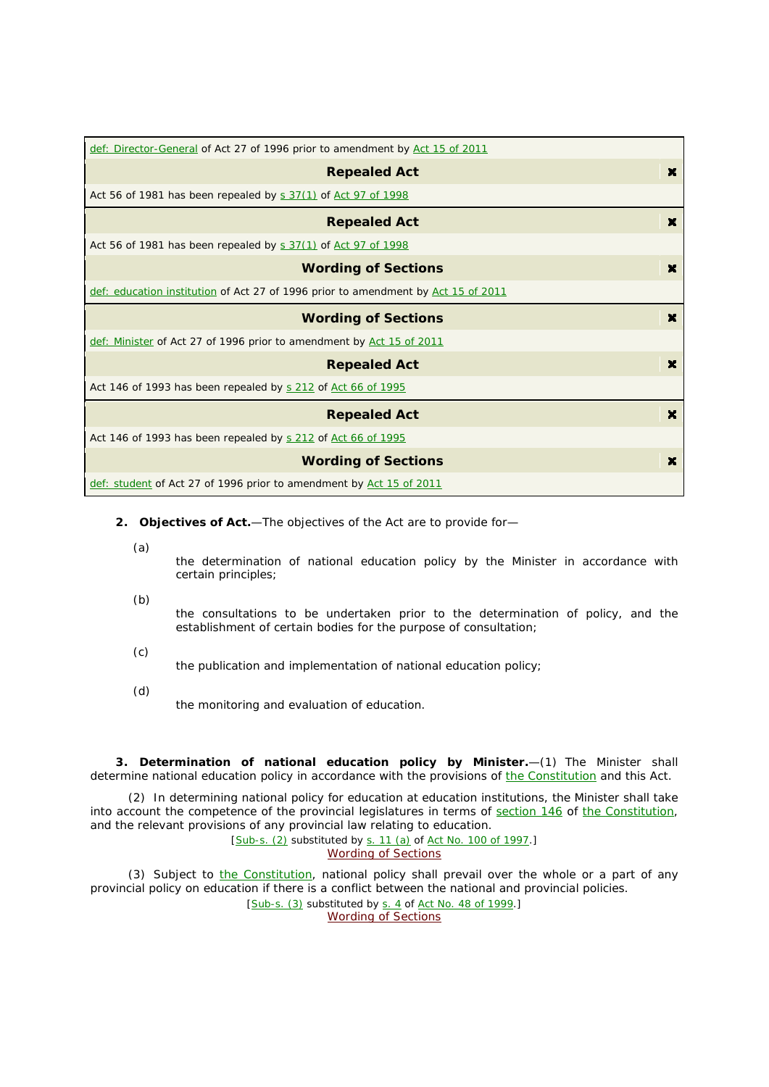| def: Director-General of Act 27 of 1996 prior to amendment by Act 15 of 2011      |                       |
|-----------------------------------------------------------------------------------|-----------------------|
| <b>Repealed Act</b>                                                               | ×                     |
| Act 56 of 1981 has been repealed by s 37(1) of Act 97 of 1998                     |                       |
| <b>Repealed Act</b>                                                               | $\mathbf{x}$          |
| Act 56 of 1981 has been repealed by s 37(1) of Act 97 of 1998                     |                       |
| <b>Wording of Sections</b>                                                        | ×                     |
| def: education institution of Act 27 of 1996 prior to amendment by Act 15 of 2011 |                       |
|                                                                                   |                       |
| <b>Wording of Sections</b>                                                        | $\mathbf{x}$          |
| def: Minister of Act 27 of 1996 prior to amendment by Act 15 of 2011              |                       |
| <b>Repealed Act</b>                                                               | ×                     |
| Act 146 of 1993 has been repealed by s 212 of Act 66 of 1995                      |                       |
| <b>Repealed Act</b>                                                               | $\boldsymbol{\times}$ |
| Act 146 of 1993 has been repealed by s 212 of Act 66 of 1995                      |                       |
| <b>Wording of Sections</b>                                                        | ×                     |

- **2. Objectives of Act.**—The objectives of the Act are to provide for—
	- (*a*)

the determination of national education policy by the Minister in accordance with certain principles;

(*b*)

the consultations to be undertaken prior to the determination of policy, and the establishment of certain bodies for the purpose of consultation;

(*c*)

the publication and implementation of national education policy;

(*d*)

the monitoring and evaluation of education.

**3. Determination of national education policy by Minister.**—(1) The Minister shall determine national education policy in accordance with the provisions of the Constitution and this Act.

(2) In determining national policy for education at education institutions, the Minister shall take into account the competence of the provincial legislatures in terms of section 146 of the Constitution, and the relevant provisions of any provincial law relating to education.

[Sub-s. (2) substituted by s. 11 (*a*) of Act No. 100 of 1997.] Wording of Sections

(3) Subject to *the Constitution*, national policy shall prevail over the whole or a part of any provincial policy on education if there is a conflict between the national and provincial policies.

[Sub-s. (3) substituted by s. 4 of Act No. 48 of 1999.] Wording of Sections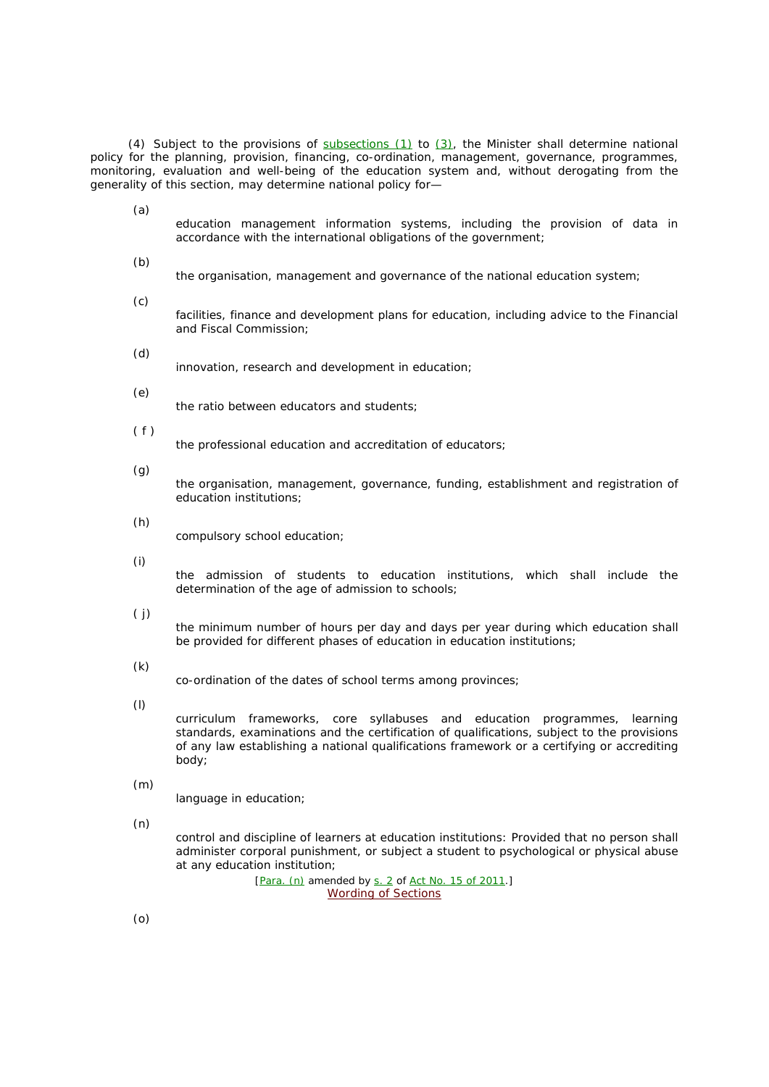(4) Subject to the provisions of  $subsections (1)$  to  $(3)$ , the Minister shall determine national policy for the planning, provision, financing, co-ordination, management, governance, programmes, monitoring, evaluation and well-being of the education system and, without derogating from the generality of this section, may determine national policy for—

(*a*)

- education management information systems, including the provision of data in accordance with the international obligations of the government;
- (*b*) the organisation, management and governance of the national education system;
- (*c*) facilities, finance and development plans for education, including advice to the Financial and Fiscal Commission;
- (*d*)
	- innovation, research and development in education;
- (*e*)

the ratio between educators and students;

 $(f)$ 

the professional education and accreditation of educators;

(*g*)

the organisation, management, governance, funding, establishment and registration of education institutions;

(*h*)

compulsory school education;

(*i*)

the admission of students to education institutions, which shall include the determination of the age of admission to schools;

 $(j)$ 

the minimum number of hours per day and days per year during which education shall be provided for different phases of education in education institutions;

(*k*)

co-ordination of the dates of school terms among provinces;

(*l*)

curriculum frameworks, core syllabuses and education programmes, learning standards, examinations and the certification of qualifications, subject to the provisions of any law establishing a national qualifications framework or a certifying or accrediting body;

(*m*)

language in education;

(*n*)

control and discipline of learners at education institutions: Provided that no person shall administer corporal punishment, or subject a student to psychological or physical abuse at any education institution;

> [Para. (n) amended by s. 2 of Act No. 15 of 2011.] Wording of Sections

(*o*)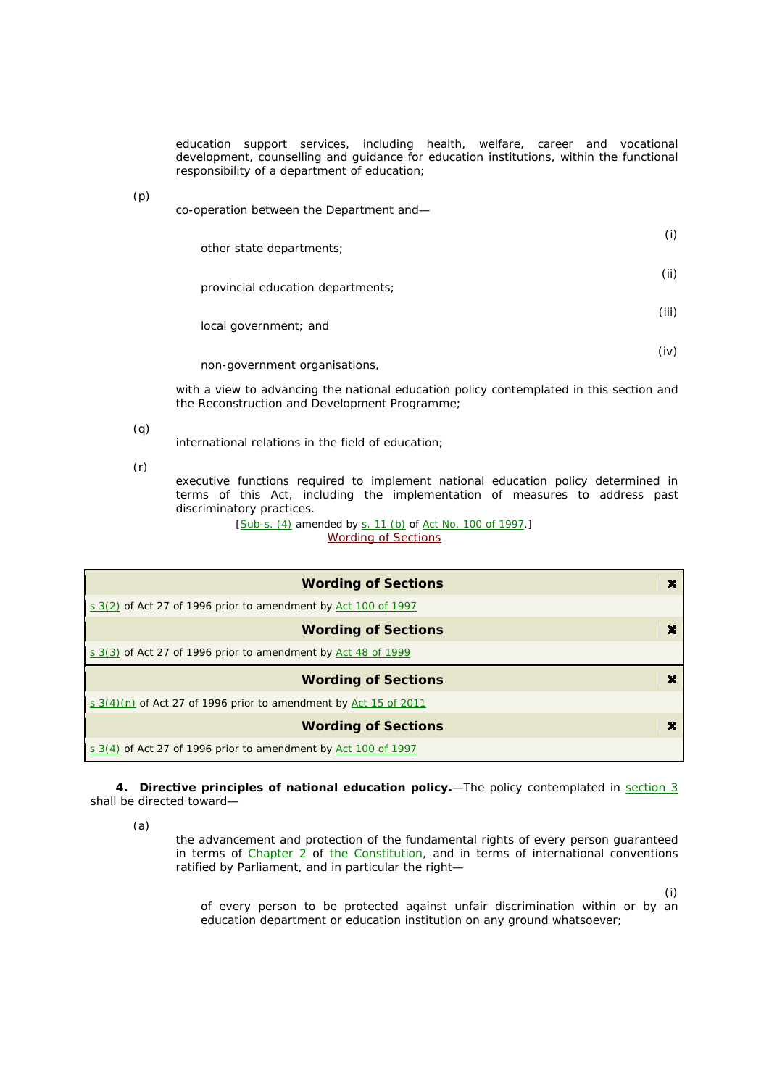education support services, including health, welfare, career and vocational development, counselling and guidance for education institutions, within the functional responsibility of a department of education;

(*p*)

co-operation between the Department and—

| other state departments;          | (i)   |
|-----------------------------------|-------|
| provincial education departments; | (ii)  |
| local government; and             | (iii) |

non-government organisations,

with a view to advancing the national education policy contemplated in this section and the Reconstruction and Development Programme;

(*q*)

international relations in the field of education;

(*r*)

executive functions required to implement national education policy determined in terms of this Act, including the implementation of measures to address past discriminatory practices.

> [Sub-s. (4) amended by s. 11 (b) of Act No. 100 of 1997.] Wording of Sections

| <b>Wording of Sections</b>                                         | × |
|--------------------------------------------------------------------|---|
| s $3(2)$ of Act 27 of 1996 prior to amendment by Act 100 of 1997   |   |
| <b>Wording of Sections</b>                                         | × |
| s 3(3) of Act 27 of 1996 prior to amendment by Act 48 of 1999      |   |
|                                                                    |   |
| <b>Wording of Sections</b>                                         | × |
| s $3(4)(n)$ of Act 27 of 1996 prior to amendment by Act 15 of 2011 |   |
| <b>Wording of Sections</b>                                         | × |

**4. Directive principles of national education policy.**—The policy contemplated in section 3 shall be directed toward—

(*a*)

the advancement and protection of the fundamental rights of every person guaranteed in terms of Chapter 2 of the Constitution, and in terms of international conventions ratified by Parliament, and in particular the right—

(i)

(iv)

of every person to be protected against unfair discrimination within or by an education department or education institution on any ground whatsoever;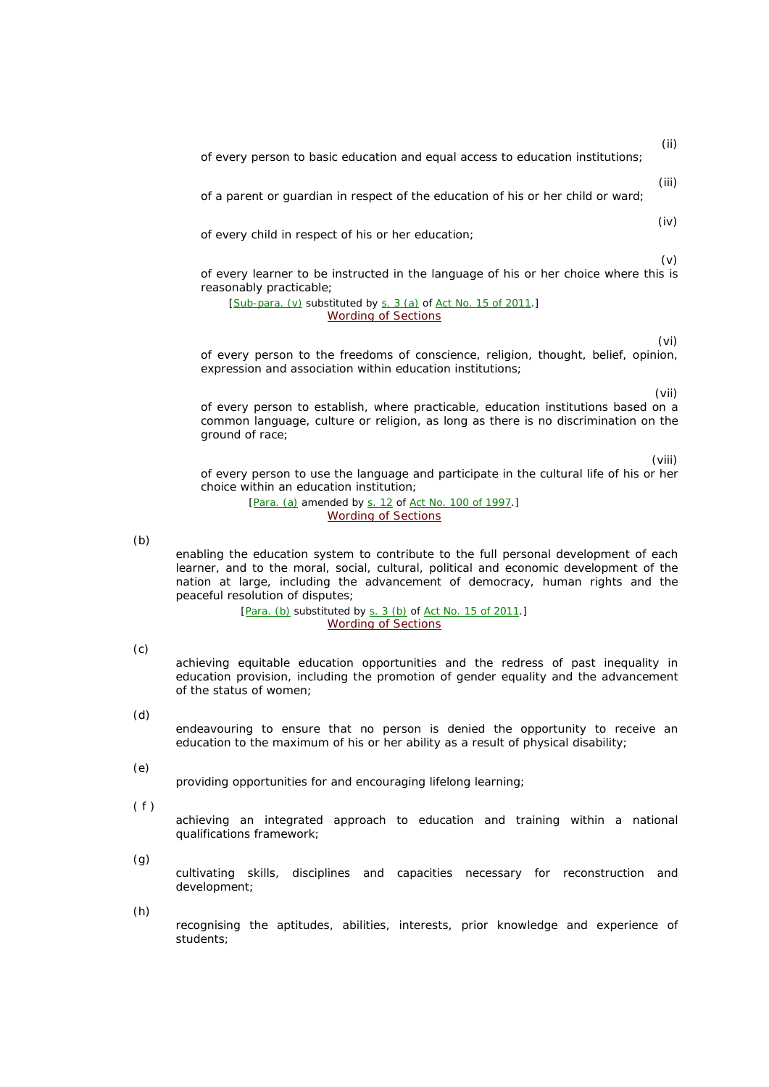of every person to basic education and equal access to education institutions;

(iii)

(iv)

(ii)

of a parent or guardian in respect of the education of his or her child or ward;

of every child in respect of his or her education;

(v)

of every learner to be instructed in the language of his or her choice where this is reasonably practicable;

[Sub-para. (v) substituted by s. 3 (*a*) of Act No. 15 of 2011.] Wording of Sections

(vi)

of every person to the freedoms of conscience, religion, thought, belief, opinion, expression and association within education institutions;

(vii)

of every person to establish, where practicable, education institutions based on a common language, culture or religion, as long as there is no discrimination on the ground of race;

(viii)

of every person to use the language and participate in the cultural life of his or her choice within an education institution;

> [Para. (a) amended by s. 12 of Act No. 100 of 1997.] Wording of Sections

(*b*)

enabling the education system to contribute to the full personal development of each learner, and to the moral, social, cultural, political and economic development of the nation at large, including the advancement of democracy, human rights and the peaceful resolution of disputes;

> [Para. (b) substituted by s. 3 (b) of Act No. 15 of 2011.] Wording of Sections

(*c*)

achieving equitable education opportunities and the redress of past inequality in education provision, including the promotion of gender equality and the advancement of the status of women;

(*d*)

endeavouring to ensure that no person is denied the opportunity to receive an education to the maximum of his or her ability as a result of physical disability;

(*e*)

providing opportunities for and encouraging lifelong learning;

 $(f)$ 

achieving an integrated approach to education and training within a national qualifications framework;

(*g*)

cultivating skills, disciplines and capacities necessary for reconstruction and development;

(*h*)

recognising the aptitudes, abilities, interests, prior knowledge and experience of students;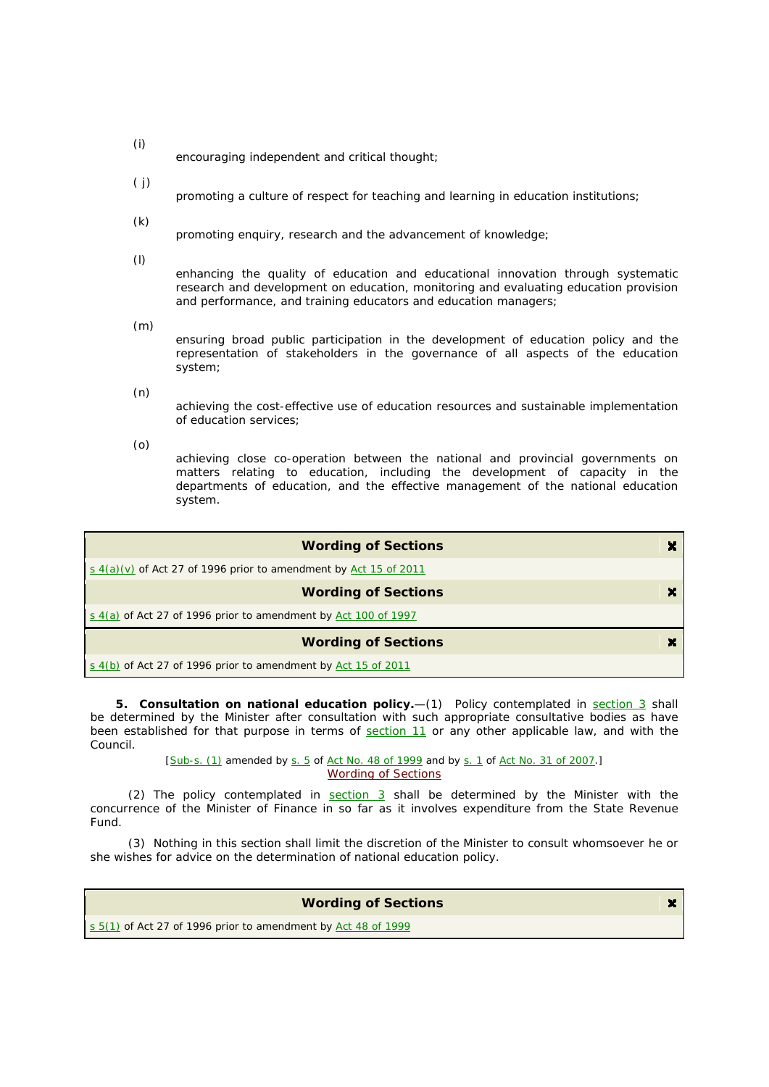- (*i*) encouraging independent and critical thought;
- ( *j*)
	- promoting a culture of respect for teaching and learning in education institutions;
- (*k*)

promoting enquiry, research and the advancement of knowledge;

(*l*)

enhancing the quality of education and educational innovation through systematic research and development on education, monitoring and evaluating education provision and performance, and training educators and education managers;

(*m*)

ensuring broad public participation in the development of education policy and the representation of stakeholders in the governance of all aspects of the education system;

(*n*)

achieving the cost-effective use of education resources and sustainable implementation of education services;

(*o*)

achieving close co-operation between the national and provincial governments on matters relating to education, including the development of capacity in the departments of education, and the effective management of the national education system.

| <b>Wording of Sections</b>                                         |  |
|--------------------------------------------------------------------|--|
| s $4(a)(v)$ of Act 27 of 1996 prior to amendment by Act 15 of 2011 |  |
| <b>Wording of Sections</b>                                         |  |
| s $4(a)$ of Act 27 of 1996 prior to amendment by Act 100 of 1997   |  |
| <b>Wording of Sections</b>                                         |  |
| s $4(b)$ of Act 27 of 1996 prior to amendment by Act 15 of 2011    |  |

**5. Consultation on national education policy.**—(1) Policy contemplated in section 3 shall be determined by the Minister after consultation with such appropriate consultative bodies as have been established for that purpose in terms of section 11 or any other applicable law, and with the Council.

> [Sub-s. (1) amended by s. 5 of Act No. 48 of 1999 and by s. 1 of Act No. 31 of 2007.] Wording of Sections

(2) The policy contemplated in  $section 3$  shall be determined by the Minister with the concurrence of the Minister of Finance in so far as it involves expenditure from the State Revenue Fund.

(3) Nothing in this section shall limit the discretion of the Minister to consult whomsoever he or she wishes for advice on the determination of national education policy.

 $\mathbf{x}$ 

# **Wording of Sections**

 $s$  5(1) of Act 27 of 1996 prior to amendment by Act 48 of 1999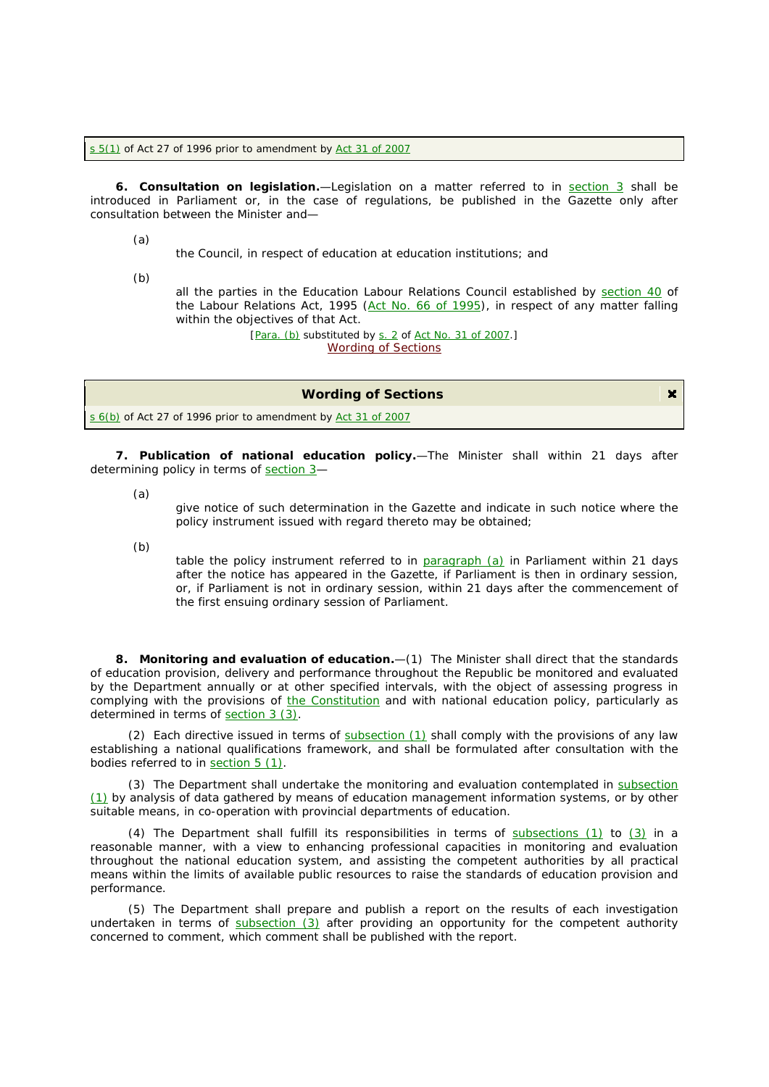$s$  5(1) of Act 27 of 1996 prior to amendment by Act 31 of 2007

**6. Consultation on legislation.**—Legislation on a matter referred to in section 3 shall be introduced in Parliament or, in the case of regulations, be published in the *Gazette* only after consultation between the Minister and—

(*a*)

the Council, in respect of education at education institutions; and

(*b*)

all the parties in the Education Labour Relations Council established by section 40 of the Labour Relations Act, 1995 (Act No. 66 of 1995), in respect of any matter falling within the objectives of that Act.

> [Para. (b) substituted by s. 2 of Act No. 31 of 2007.] Wording of Sections

| <b>Wording of Sections</b>                                    |  |
|---------------------------------------------------------------|--|
| s 6(b) of Act 27 of 1996 prior to amendment by Act 31 of 2007 |  |

**7. Publication of national education policy.**—The Minister shall within 21 days after determining policy in terms of section 3-

(*a*)

give notice of such determination in the *Gazette* and indicate in such notice where the policy instrument issued with regard thereto may be obtained;

(*b*)

table the policy instrument referred to in paragraph (*a*) in Parliament within 21 days after the notice has appeared in the *Gazette*, if Parliament is then in ordinary session, or, if Parliament is not in ordinary session, within 21 days after the commencement of the first ensuing ordinary session of Parliament.

**8. Monitoring and evaluation of education.**—(1) The Minister shall direct that the standards of education provision, delivery and performance throughout the Republic be monitored and evaluated by the Department annually or at other specified intervals, with the object of assessing progress in complying with the provisions of the Constitution and with national education policy, particularly as determined in terms of section 3 (3).

(2) Each directive issued in terms of subsection (1) shall comply with the provisions of any law establishing a national qualifications framework, and shall be formulated after consultation with the bodies referred to in section 5 (1).

(3) The Department shall undertake the monitoring and evaluation contemplated in subsection (1) by analysis of data gathered by means of education management information systems, or by other suitable means, in co-operation with provincial departments of education.

(4) The Department shall fulfill its responsibilities in terms of subsections (1) to (3) in a reasonable manner, with a view to enhancing professional capacities in monitoring and evaluation throughout the national education system, and assisting the competent authorities by all practical means within the limits of available public resources to raise the standards of education provision and performance.

(5) The Department shall prepare and publish a report on the results of each investigation undertaken in terms of subsection  $(3)$  after providing an opportunity for the competent authority concerned to comment, which comment shall be published with the report.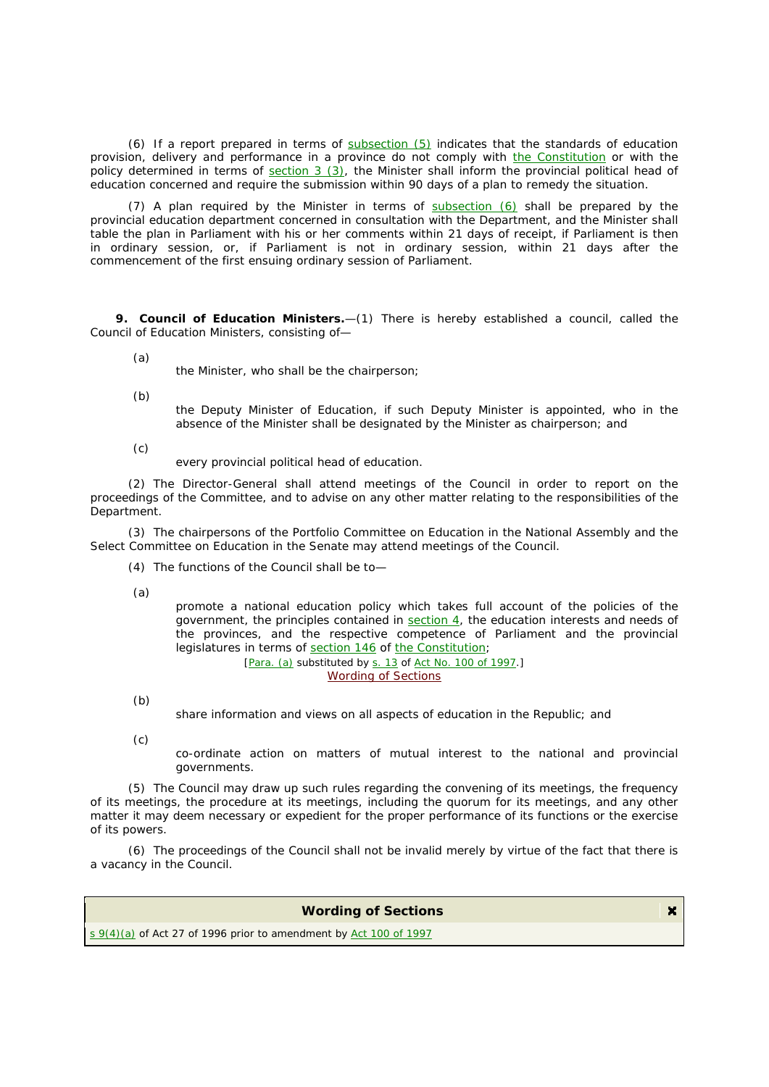(6) If a report prepared in terms of subsection (5) indicates that the standards of education provision, delivery and performance in a province do not comply with the Constitution or with the policy determined in terms of section 3 (3), the Minister shall inform the provincial political head of education concerned and require the submission within 90 days of a plan to remedy the situation.

(7) A plan required by the Minister in terms of subsection (6) shall be prepared by the provincial education department concerned in consultation with the Department, and the Minister shall table the plan in Parliament with his or her comments within 21 days of receipt, if Parliament is then in ordinary session, or, if Parliament is not in ordinary session, within 21 days after the commencement of the first ensuing ordinary session of Parliament.

**9. Council of Education Ministers.**—(1) There is hereby established a council, called the Council of Education Ministers, consisting of—

(*a*)

the Minister, who shall be the chairperson;

(*b*)

the Deputy Minister of Education, if such Deputy Minister is appointed, who in the absence of the Minister shall be designated by the Minister as chairperson; and

(*c*)

every provincial political head of education.

(2) The Director-General shall attend meetings of the Council in order to report on the proceedings of the Committee, and to advise on any other matter relating to the responsibilities of the Department.

(3) The chairpersons of the Portfolio Committee on Education in the National Assembly and the Select Committee on Education in the Senate may attend meetings of the Council.

(4) The functions of the Council shall be to—

(*a*)

promote a national education policy which takes full account of the policies of the government, the principles contained in section 4, the education interests and needs of the provinces, and the respective competence of Parliament and the provincial legislatures in terms of section 146 of the Constitution;

[Para. (*a*) substituted by s. 13 of Act No. 100 of 1997.] Wording of Sections

(*b*)

share information and views on all aspects of education in the Republic; and

(*c*)

co-ordinate action on matters of mutual interest to the national and provincial governments.

(5) The Council may draw up such rules regarding the convening of its meetings, the frequency of its meetings, the procedure at its meetings, including the quorum for its meetings, and any other matter it may deem necessary or expedient for the proper performance of its functions or the exercise of its powers.

(6) The proceedings of the Council shall not be invalid merely by virtue of the fact that there is a vacancy in the Council.

## **Wording of Sections**

 $s \frac{9(4)(a)}{2}$  of Act 27 of 1996 prior to amendment by Act 100 of 1997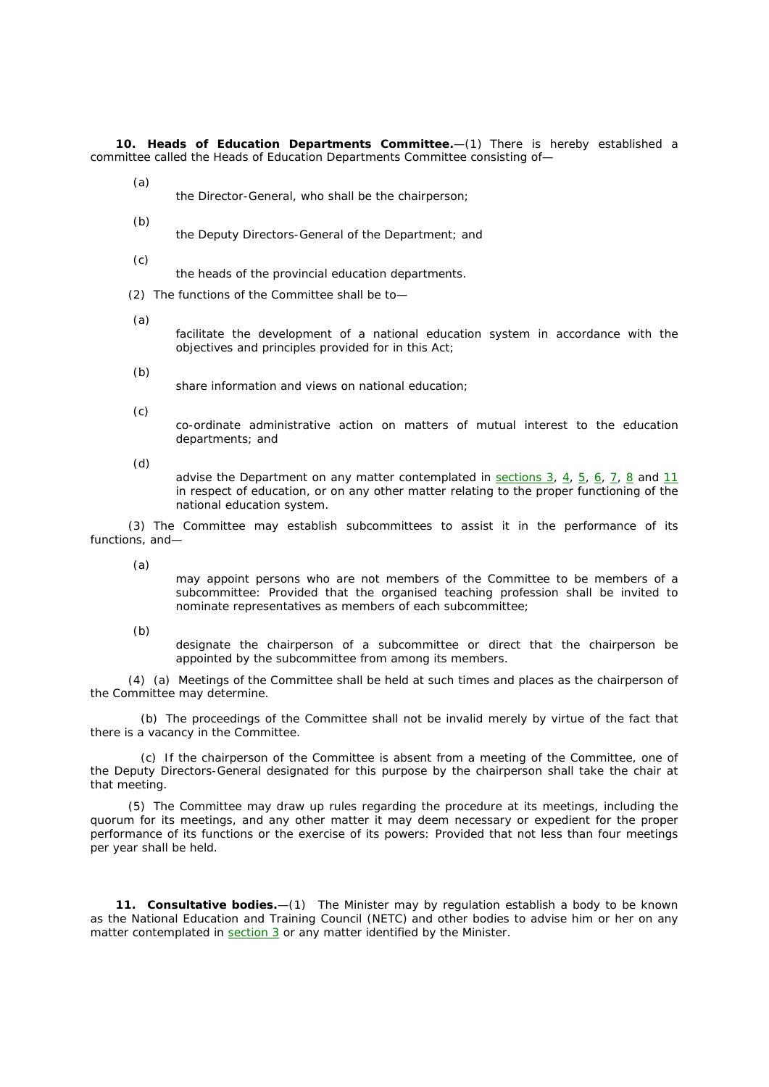**10. Heads of Education Departments Committee.**—(1) There is hereby established a committee called the Heads of Education Departments Committee consisting of—

(*a*)

- the Director-General, who shall be the chairperson;
- (*b*)

the Deputy Directors-General of the Department; and

(*c*)

the heads of the provincial education departments.

(2) The functions of the Committee shall be to—

(*a*)

facilitate the development of a national education system in accordance with the objectives and principles provided for in this Act;

(*b*)

share information and views on national education;

(*c*)

co-ordinate administrative action on matters of mutual interest to the education departments; and

(*d*)

advise the Department on any matter contemplated in sections 3, 4, 5, 6, 7, 8 and 11 in respect of education, or on any other matter relating to the proper functioning of the national education system.

(3) The Committee may establish subcommittees to assist it in the performance of its functions, and—

(*a*)

may appoint persons who are not members of the Committee to be members of a subcommittee: Provided that the organised teaching profession shall be invited to nominate representatives as members of each subcommittee;

(*b*)

designate the chairperson of a subcommittee or direct that the chairperson be appointed by the subcommittee from among its members.

(4) (*a*) Meetings of the Committee shall be held at such times and places as the chairperson of the Committee may determine.

(*b*) The proceedings of the Committee shall not be invalid merely by virtue of the fact that there is a vacancy in the Committee.

(*c*) If the chairperson of the Committee is absent from a meeting of the Committee, one of the Deputy Directors-General designated for this purpose by the chairperson shall take the chair at that meeting.

(5) The Committee may draw up rules regarding the procedure at its meetings, including the quorum for its meetings, and any other matter it may deem necessary or expedient for the proper performance of its functions or the exercise of its powers: Provided that not less than four meetings per year shall be held.

**11. Consultative bodies.**—(1) The Minister may by regulation establish a body to be known as the National Education and Training Council (NETC) and other bodies to advise him or her on any matter contemplated in  $section 3$  or any matter identified by the Minister.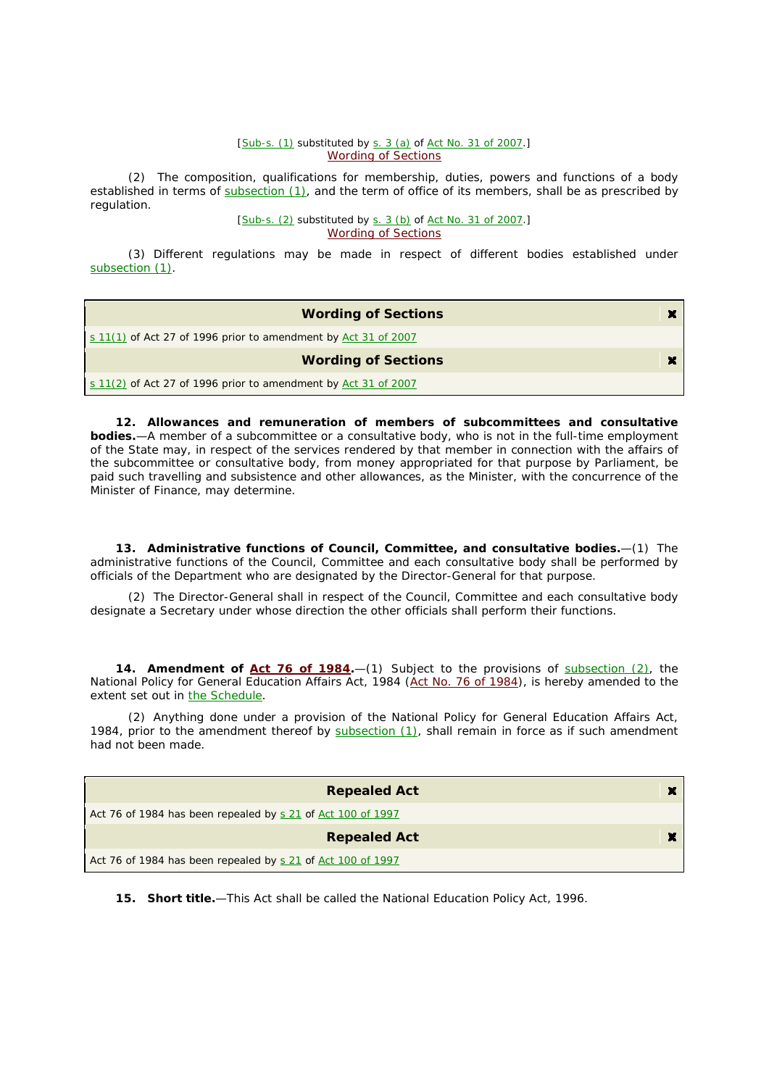#### [Sub-s. (1) substituted by s. 3 (*a*) of Act No. 31 of 2007.] Wording of Sections

(2) The composition, qualifications for membership, duties, powers and functions of a body established in terms of subsection (1), and the term of office of its members, shall be as prescribed by regulation.

> [Sub-s. (2) substituted by s. 3 (*b*) of Act No. 31 of 2007.] Wording of Sections

(3) Different regulations may be made in respect of different bodies established under subsection (1).

| <b>Wording of Sections</b>                                             | × |
|------------------------------------------------------------------------|---|
| $\leq 11(1)$ of Act 27 of 1996 prior to amendment by Act 31 of 2007    |   |
| <b>Wording of Sections</b>                                             |   |
| $\vert$ s 11(2) of Act 27 of 1996 prior to amendment by Act 31 of 2007 |   |

**12. Allowances and remuneration of members of subcommittees and consultative bodies.**—A member of a subcommittee or a consultative body, who is not in the full-time employment of the State may, in respect of the services rendered by that member in connection with the affairs of the subcommittee or consultative body, from money appropriated for that purpose by Parliament, be paid such travelling and subsistence and other allowances, as the Minister, with the concurrence of the Minister of Finance, may determine.

**13. Administrative functions of Council, Committee, and consultative bodies.**—(1) The administrative functions of the Council, Committee and each consultative body shall be performed by officials of the Department who are designated by the Director-General for that purpose.

(2) The Director-General shall in respect of the Council, Committee and each consultative body designate a Secretary under whose direction the other officials shall perform their functions.

**14. Amendment of Act 76 of 1984.**—(1) Subject to the provisions of subsection (2), the National Policy for General Education Affairs Act, 1984 (Act No. 76 of 1984), is hereby amended to the extent set out in the Schedule.

(2) Anything done under a provision of the National Policy for General Education Affairs Act, 1984, prior to the amendment thereof by subsection (1), shall remain in force as if such amendment had not been made.

| <b>Repealed Act</b>                                         | ×   |
|-------------------------------------------------------------|-----|
| Act 76 of 1984 has been repealed by s 21 of Act 100 of 1997 |     |
| <b>Repealed Act</b>                                         | . . |
| Act 76 of 1984 has been repealed by s 21 of Act 100 of 1997 |     |

**15. Short title.**—This Act shall be called the National Education Policy Act, 1996.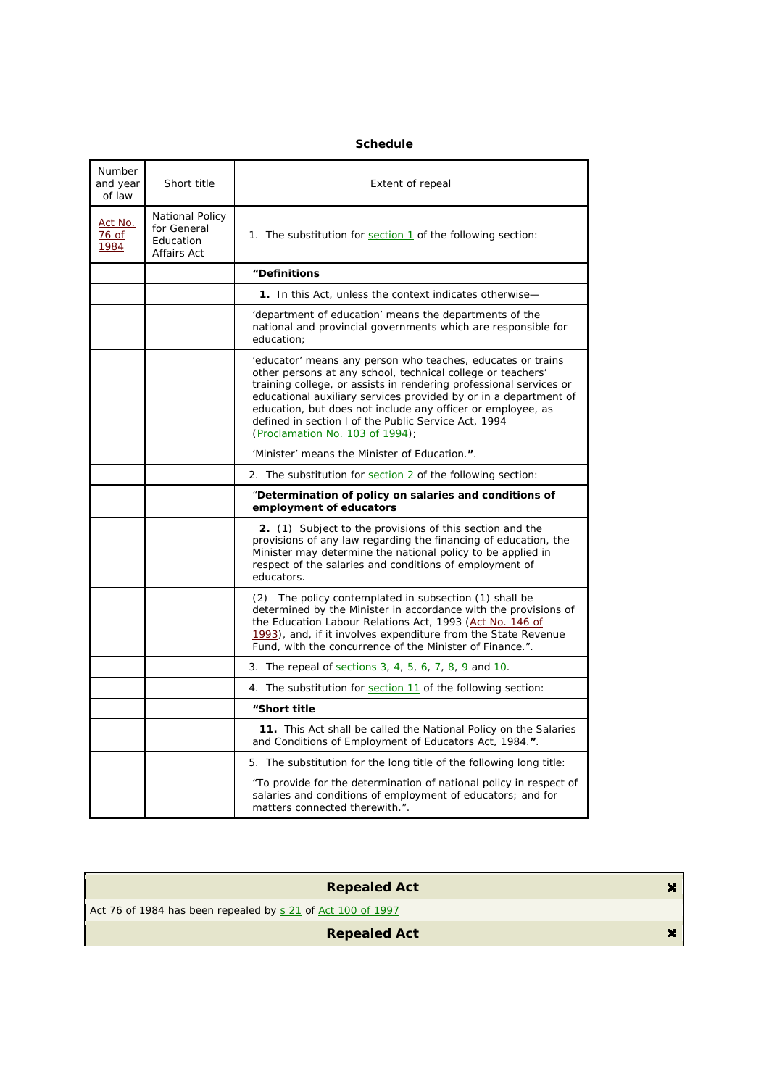### *Number and year of law Short title Extent of repeal* Act No. 76 of 1984 National Policy for General **Education** Affairs Act 1. The substitution for section 1 of the following section: **"Definitions** 1. In this Act, unless the context indicates otherwise-'department of education' means the departments of the national and provincial governments which are responsible for education; 'educator' means any person who teaches, educates or trains other persons at any school, technical college or teachers' training college, or assists in rendering professional services or educational auxiliary services provided by or in a department of education, but does not include any officer or employee, as defined in section l of the Public Service Act, 1994 (Proclamation No. 103 of 1994); 'Minister' means the Minister of Education.**"**. 2. The substitution for section 2 of the following section: "**Determination of policy on salaries and conditions of employment of educators 2.** (1) Subject to the provisions of this section and the provisions of any law regarding the financing of education, the Minister may determine the national policy to be applied in respect of the salaries and conditions of employment of educators. (2) The policy contemplated in subsection (1) shall be determined by the Minister in accordance with the provisions of the Education Labour Relations Act, 1993 (Act No. 146 of 1993), and, if it involves expenditure from the State Revenue Fund, with the concurrence of the Minister of Finance.". 3. The repeal of  $\frac{\text{sections } 3}{\text{actions } 3}$ ,  $\frac{4}{10}$ ,  $\frac{5}{10}$ ,  $\frac{6}{10}$ ,  $\frac{7}{10}$ ,  $\frac{8}{10}$ ,  $\frac{9}{10}$  and  $\frac{10}{10}$ . 4. The substitution for section 11 of the following section: **"Short title 11.** This Act shall be called the National Policy on the Salaries and Conditions of Employment of Educators Act, 1984.**"**. 5. The substitution for the long title of the following long title: "To provide for the determination of national policy in respect of salaries and conditions of employment of educators; and for matters connected therewith.".

| <b>Repealed Act</b>                                         | $\mathbf{x}$ |
|-------------------------------------------------------------|--------------|
| Act 76 of 1984 has been repealed by s 21 of Act 100 of 1997 |              |
| <b>Repealed Act</b>                                         | $\mathbf{x}$ |
|                                                             |              |

### **Schedule**